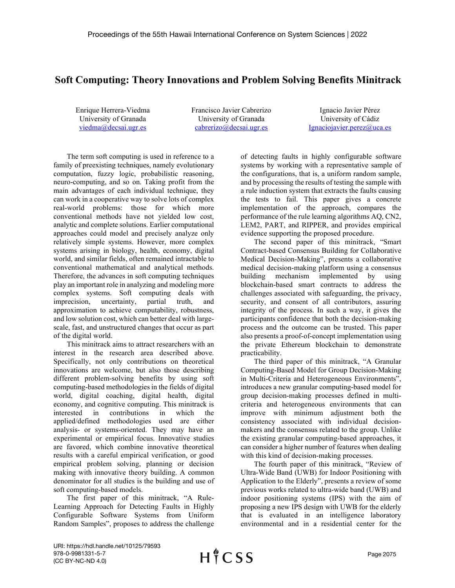## **Soft Computing: Theory Innovations and Problem Solving Benefits Minitrack**

Enrique Herrera-Viedma University of Granada [viedma@decsai.ugr.es](mailto:viedma@decsai.ugr.es)

Francisco Javier Cabrerizo University of Granada [cabrerizo@decsai.ugr.es](mailto:cabrerizo@decsai.ugr.es)

Ignacio Javier Pérez University of Cádiz [Ignaciojavier.perez@uca.es](mailto:Ignaciojavier.perez@uca.es)

The term soft computing is used in reference to a family of preexisting techniques, namely evolutionary computation, fuzzy logic, probabilistic reasoning, neuro-computing, and so on. Taking profit from the main advantages of each individual technique, they can work in a cooperative way to solve lots of complex real-world problems: those for which more conventional methods have not yielded low cost, analytic and complete solutions. Earlier computational approaches could model and precisely analyze only relatively simple systems. However, more complex systems arising in biology, health, economy, digital world, and similar fields, often remained intractable to conventional mathematical and analytical methods. Therefore, the advances in soft computing techniques play an important role in analyzing and modeling more complex systems. Soft computing deals with imprecision, uncertainty, partial truth, and approximation to achieve computability, robustness, and low solution cost, which can better deal with largescale, fast, and unstructured changes that occur as part of the digital world.

This minitrack aims to attract researchers with an interest in the research area described above. Specifically, not only contributions on theoretical innovations are welcome, but also those describing different problem-solving benefits by using soft computing-based methodologies in the fields of digital world, digital coaching, digital health, digital economy, and cognitive computing. This minitrack is interested in contributions in which the applied/defined methodologies used are either analysis- or systems-oriented. They may have an experimental or empirical focus. Innovative studies are favored, which combine innovative theoretical results with a careful empirical verification, or good empirical problem solving, planning or decision making with innovative theory building. A common denominator for all studies is the building and use of soft computing-based models.

The first paper of this minitrack, "A Rule-Learning Approach for Detecting Faults in Highly Configurable Software Systems from Uniform Random Samples", proposes to address the challenge of detecting faults in highly configurable software systems by working with a representative sample of the configurations, that is, a uniform random sample, and by processing the results of testing the sample with a rule induction system that extracts the faults causing the tests to fail. This paper gives a concrete implementation of the approach, compares the performance of the rule learning algorithms AQ, CN2, LEM2, PART, and RIPPER, and provides empirical evidence supporting the proposed procedure.

The second paper of this minitrack, "Smart Contract-based Consensus Building for Collaborative Medical Decision-Making", presents a collaborative medical decision-making platform using a consensus building mechanism implemented by using blockchain-based smart contracts to address the challenges associated with safeguarding, the privacy, security, and consent of all contributors, assuring integrity of the process. In such a way, it gives the participants confidence that both the decision-making process and the outcome can be trusted. This paper also presents a proof-of-concept implementation using the private Ethereum blockchain to demonstrate practicability.

The third paper of this minitrack, "A Granular Computing-Based Model for Group Decision-Making in Multi-Criteria and Heterogeneous Environments", introduces a new granular computing-based model for group decision-making processes defined in multicriteria and heterogeneous environments that can improve with minimum adjustment both the consistency associated with individual decisionmakers and the consensus related to the group. Unlike the existing granular computing-based approaches, it can consider a higher number of features when dealing with this kind of decision-making processes.

The fourth paper of this minitrack, "Review of Ultra-Wide Band (UWB) for Indoor Positioning with Application to the Elderly", presents a review of some previous works related to ultra-wide band (UWB) and indoor positioning systems (IPS) with the aim of proposing a new IPS design with UWB for the elderly that is evaluated in an intelligence laboratory environmental and in a residential center for the

URI: https://hdl.handle.net/10125/79593 978-0-9981331-5-7 (CC BY-NC-ND 4.0)